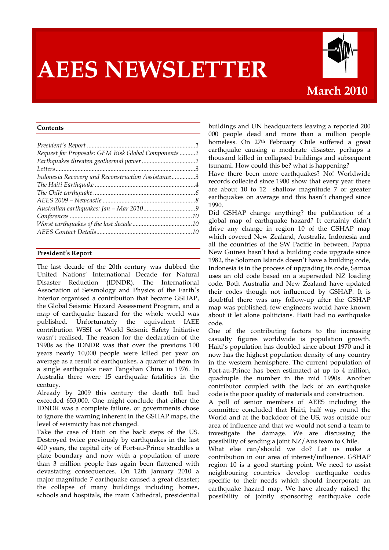# **AEES NEWSLETTER**



# **March 2010**

#### **Contents**

# **President's Report**

The last decade of the 20th century was dubbed the United Nations' International Decade for Natural Disaster Reduction (IDNDR). The International Association of Seismology and Physics of the Earth's Interior organised a contribution that became GSHAP, the Global Seismic Hazard Assessment Program, and a map of earthquake hazard for the whole world was published. Unfortunately the equivalent IAEE contribution WSSI or World Seismic Safety Initiative wasn't realised. The reason for the declaration of the 1990s as the IDNDR was that over the previous 100 years nearly 10,000 people were killed per year on average as a result of earthquakes, a quarter of them in a single earthquake near Tangshan China in 1976. In Australia there were 15 earthquake fatalities in the century.

Already by 2009 this century the death toll had exceeded 653,000. One might conclude that either the IDNDR was a complete failure, or governments chose to ignore the warning inherent in the GSHAP maps, the level of seismicity has not changed.

Take the case of Haiti on the back steps of the US. Destroyed twice previously by earthquakes in the last 400 years, the capital city of Port-au-Prince straddles a plate boundary and now with a population of more than 3 million people has again been flattened with devastating consequences. On 12th January 2010 a major magnitude 7 earthquake caused a great disaster; the collapse of many buildings including homes, schools and hospitals, the main Cathedral, presidential

buildings and UN headquarters leaving a reported 200 000 people dead and more than a million people homeless. On 27<sup>th</sup> February Chile suffered a great earthquake causing a moderate disaster, perhaps a thousand killed in collapsed buildings and subsequent tsunami. How could this be? what is happening?

Have there been more earthquakes? No! Worldwide records collected since 1900 show that every year there are about 10 to 12 shallow magnitude 7 or greater earthquakes on average and this hasn't changed since 1990.

Did GSHAP change anything? the publication of a global map of earthquake hazard? It certainly didn't drive any change in region 10 of the GSHAP map which covered New Zealand, Australia, Indonesia and all the countries of the SW Pacific in between. Papua New Guinea hasn't had a building code upgrade since 1982, the Solomon Islands doesn't have a building code, Indonesia is in the process of upgrading its code, Samoa uses an old code based on a superseded NZ loading code. Both Australia and New Zealand have updated their codes though not influenced by GSHAP. It is doubtful there was any follow-up after the GSHAP map was published, few engineers would have known about it let alone politicians. Haiti had no earthquake code.

One of the contributing factors to the increasing casualty figures worldwide is population growth. Haiti's population has doubled since about 1970 and it now has the highest population density of any country in the western hemisphere. The current population of Port-au-Prince has been estimated at up to 4 million, quadruple the number in the mid 1990s. Another contributor coupled with the lack of an earthquake code is the poor quality of materials and construction.

A poll of senior members of AEES including the committee concluded that Haiti, half way round the World and at the backdoor of the US, was outside our area of influence and that we would not send a team to investigate the damage. We are discussing the possibility of sending a joint NZ/Aus team to Chile.

What else can/should we do? Let us make a contribution in our area of interest/influence. GSHAP region 10 is a good starting point. We need to assist neighbouring countries develop earthquake codes specific to their needs which should incorporate an earthquake hazard map. We have already raised the possibility of jointly sponsoring earthquake code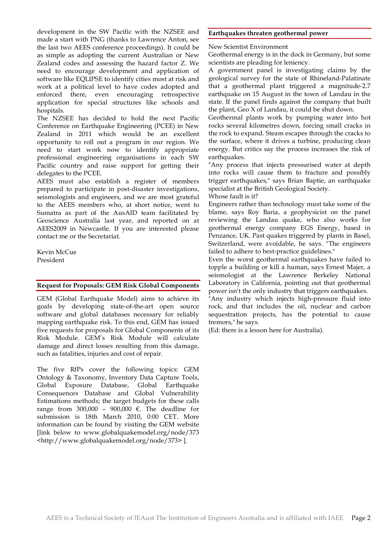development in the SW Pacific with the NZSEE and made a start with PNG (thanks to Lawrence Anton, see the last two AEES conference proceedings). It could be as simple as adopting the current Australian or New Zealand codes and assessing the hazard factor Z. We need to encourage development and application of software like EQLIPSE to identify cities most at risk and work at a political level to have codes adopted and enforced there, even encouraging retrospective application for special structures like schools and hospitals.

The NZSEE has decided to hold the next Pacific Conference on Earthquake Engineering (PCEE) in New Zealand in 2011 which would be an excellent opportunity to roll out a program in our region. We need to start work now to identify appropriate professional engineering organisations in each SW Pacific country and raise support for getting their delegates to the PCEE.

AEES must also establish a register of members prepared to participate in post-disaster investigations, seismologists and engineers, and we are most grateful to the AEES members who, at short notice, went to Sumatra as part of the AusAID team facilitated by Geoscience Australia last year, and reported on at AEES2009 in Newcastle. If you are interested please contact me or the Secretariat.

Kevin McCue President

## **Request for Proposals: GEM Risk Global Components**

GEM (Global Earthquake Model) aims to achieve its goals by developing state-of-the-art open source software and global databases necessary for reliably mapping earthquake risk. To this end, GEM has issued five requests for proposals for Global Components of its Risk Module. GEM's Risk Module will calculate damage and direct losses resulting from this damage, such as fatalities, injuries and cost of repair.

The five RfPs cover the following topics: GEM Ontology & Taxonomy, Inventory Data Capture Tools, Global Exposure Database, Global Earthquake Consequences Database and Global Vulnerability Estimations methods; the target budgets for these calls range from 300,000 – 900,000 €. The deadline for submission is 18th March 2010, 0:00 CET. More information can be found by visiting the GEM website [link below to www.globalquakemodel.org/node/373 <http://www.globalquakemodel.org/node/373> ].

### **Earthquakes threaten geothermal power**

New Scientist Environment

Geothermal energy is in the dock in Germany, but some scientists are pleading for leniency.

A government panel is investigating claims by the geological survey for the state of Rhineland-Palatinate that a geothermal plant triggered a magnitude-2.7 earthquake on 15 August in the town of Landau in the state. If the panel finds against the company that built the plant, Geo X of Landau, it could be shut down.

Geothermal plants work by pumping water into hot rocks several kilometres down, forcing small cracks in the rock to expand. Steam escapes through the cracks to the surface, where it drives a turbine, producing clean energy. But critics say the process increases the risk of earthquakes.

"Any process that injects pressurised water at depth into rocks will cause them to fracture and possibly trigger earthquakes," says Brian Baptie, an earthquake specialist at the British Geological Society.

# Whose fault is it?

Engineers rather than technology must take some of the blame, says Roy Baria, a geophysicist on the panel reviewing the Landau quake, who also works for geothermal energy company EGS Energy, based in Penzance, UK. Past quakes triggered by plants in Basel, Switzerland, were avoidable, he says. "The engineers failed to adhere to best-practice guidelines."

Even the worst geothermal earthquakes have failed to topple a building or kill a human, says Ernest Majer, a seismologist at the Lawrence Berkeley National Laboratory in California, pointing out that geothermal power isn't the only industry that triggers earthquakes.

"Any industry which injects high-pressure fluid into rock, and that includes the oil, nuclear and carbon sequestration projects, has the potential to cause tremors," he says.

(Ed: there is a lesson here for Australia).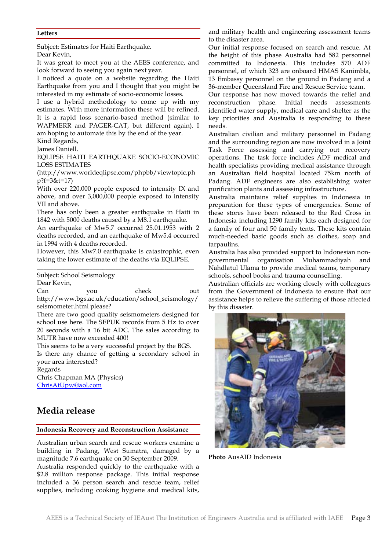# **Letters**

Subject: Estimates for Haiti Earthquake**.**

Dear Kevin,

It was great to meet you at the AEES conference, and look forward to seeing you again next year.

I noticed a quote on a website regarding the Haiti Earthquake from you and I thought that you might be interested in my estimate of socio-economic losses.

I use a hybrid methodology to come up with my estimates. With more information these will be refined. It is a rapid loss scenario-based method (similar to WAPMERR and PAGER-CAT, but different again). I am hoping to automate this by the end of the year.

Kind Regards, James Daniell.

EQLIPSE HAITI EARTHQUAKE SOCIO-ECONOMIC LOSS ESTIMATES

(http://www.worldeqlipse.com/phpbb/viewtopic.ph p?f=3&t=17)

With over 220,000 people exposed to intensity IX and above, and over 3,000,000 people exposed to intensity VII and above.

There has only been a greater earthquake in Haiti in 1842 with 5000 deaths caused by a M8.1 earthquake.

An earthquake of Mw5.7 occurred 25.01.1953 with 2 deaths recorded, and an earthquake of Mw5.4 occurred in 1994 with 4 deaths recorded.

However, this Mw7.0 earthquake is catastrophic, even taking the lower estimate of the deaths via EQLIPSE. \_\_\_\_\_\_\_\_\_\_\_\_\_\_\_\_\_\_\_\_\_\_\_\_\_\_\_\_\_\_\_\_\_\_\_\_\_\_\_\_\_\_\_\_\_\_\_\_

Subject: School Seismology

Dear Kevin,

Can you check out http://www.bgs.ac.uk/education/school\_seismology/ seismometer.html please?

There are two good quality seismometers designed for school use here. The SEPUK records from 5 Hz to over 20 seconds with a 16 bit ADC. The sales according to MUTR have now exceeded 400!

This seems to be a very successful project by the BGS. Is there any chance of getting a secondary school in your area interested?

Regards

Chris Chapman MA (Physics) ChrisAtUpw@aol.com

# **Media release**

#### **Indonesia Recovery and Reconstruction Assistance**

Australian urban search and rescue workers examine a building in Padang, West Sumatra, damaged by a magnitude 7.6 earthquake on 30 September 2009.

Australia responded quickly to the earthquake with a \$2.8 million response package. This initial response included a 36 person search and rescue team, relief supplies, including cooking hygiene and medical kits,

and military health and engineering assessment teams to the disaster area.

Our initial response focused on search and rescue. At the height of this phase Australia had 582 personnel committed to Indonesia. This includes 570 ADF personnel, of which 323 are onboard HMAS Kanimbla, 13 Embassy personnel on the ground in Padang and a 36-member Queensland Fire and Rescue Service team.

Our response has now moved towards the relief and reconstruction phase. Initial needs assessments identified water supply, medical care and shelter as the key priorities and Australia is responding to these needs.

Australian civilian and military personnel in Padang and the surrounding region are now involved in a Joint Task Force assessing and carrying out recovery operations. The task force includes ADF medical and health specialists providing medical assistance through an Australian field hospital located 75km north of Padang. ADF engineers are also establishing water purification plants and assessing infrastructure.

Australia maintains relief supplies in Indonesia in preparation for these types of emergencies. Some of these stores have been released to the Red Cross in Indonesia including 1290 family kits each designed for a family of four and 50 family tents. These kits contain much-needed basic goods such as clothes, soap and tarpaulins.

Australia has also provided support to Indonesian nongovernmental organisation Muhammadiyah and Nahdlatul Ulama to provide medical teams, temporary schools, school books and trauma counselling.

Australian officials are working closely with colleagues from the Government of Indonesia to ensure that our assistance helps to relieve the suffering of those affected by this disaster.



**Photo** AusAID Indonesia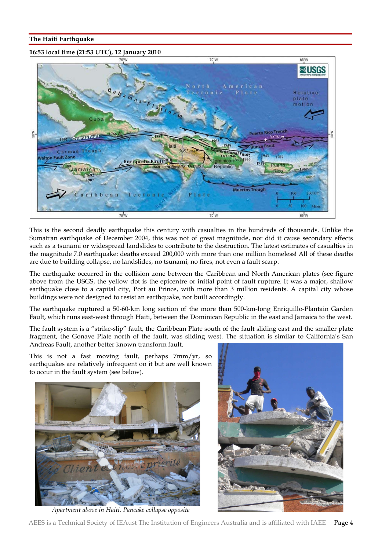# **The Haiti Earthquake**

# **16:53 local time (21:53 UTC), 12 January 2010**



This is the second deadly earthquake this century with casualties in the hundreds of thousands. Unlike the Sumatran earthquake of December 2004, this was not of great magnitude, nor did it cause secondary effects such as a tsunami or widespread landslides to contribute to the destruction. The latest estimates of casualties in the magnitude 7.0 earthquake: deaths exceed 200,000 with more than one million homeless! All of these deaths are due to building collapse, no landslides, no tsunami, no fires, not even a fault scarp.

The earthquake occurred in the collision zone between the Caribbean and North American plates (see figure above from the USGS, the yellow dot is the epicentre or initial point of fault rupture. It was a major, shallow earthquake close to a capital city, Port au Prince, with more than 3 million residents. A capital city whose buildings were not designed to resist an earthquake, nor built accordingly.

The earthquake ruptured a 50-60-km long section of the more than 500-km-long Enriquillo-Plantain Garden Fault, which runs east-west through Haiti, between the Dominican Republic in the east and Jamaica to the west.

The fault system is a "strike-slip" fault, the Caribbean Plate south of the fault sliding east and the smaller plate fragment, the Gonave Plate north of the fault, was sliding west. The situation is similar to California's San Andreas Fault, another better known transform fault.

This is not a fast moving fault, perhaps 7mm/yr, so earthquakes are relatively infrequent on it but are well known to occur in the fault system (see below).



*Apartment above in Haiti. Pancake collapse opposite*

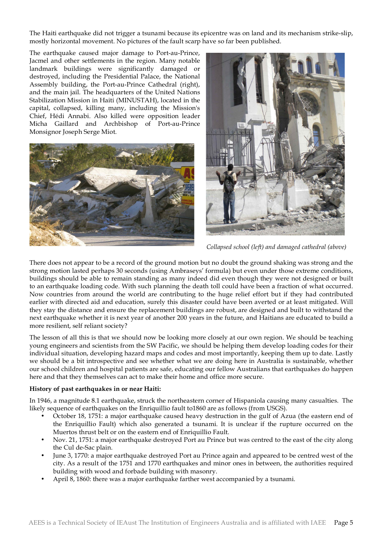The Haiti earthquake did not trigger a tsunami because its epicentre was on land and its mechanism strike-slip, mostly horizontal movement. No pictures of the fault scarp have so far been published.

The earthquake caused major damage to Port-au-Prince, Jacmel and other settlements in the region. Many notable landmark buildings were significantly damaged or destroyed, including the Presidential Palace, the National Assembly building, the Port-au-Prince Cathedral (right), and the main jail. The headquarters of the United Nations Stabilization Mission in Haiti (MINUSTAH), located in the capital, collapsed, killing many, including the Mission's Chief, Hédi Annabi. Also killed were opposition leader Micha Gaillard and Archbishop of Port-au-Prince Monsignor Joseph Serge Miot.





*Collapsed school (left) and damaged cathedral (above)*

There does not appear to be a record of the ground motion but no doubt the ground shaking was strong and the strong motion lasted perhaps 30 seconds (using Ambraseys' formula) but even under those extreme conditions, buildings should be able to remain standing as many indeed did even though they were not designed or built to an earthquake loading code. With such planning the death toll could have been a fraction of what occurred. Now countries from around the world are contributing to the huge relief effort but if they had contributed earlier with directed aid and education, surely this disaster could have been averted or at least mitigated. Will they stay the distance and ensure the replacement buildings are robust, are designed and built to withstand the next earthquake whether it is next year of another 200 years in the future, and Haitians are educated to build a more resilient, self reliant society?

The lesson of all this is that we should now be looking more closely at our own region. We should be teaching young engineers and scientists from the SW Pacific, we should be helping them develop loading codes for their individual situation, developing hazard maps and codes and most importantly, keeping them up to date. Lastly we should be a bit introspective and see whether what we are doing here in Australia is sustainable, whether our school children and hospital patients are safe, educating our fellow Australians that earthquakes do happen here and that they themselves can act to make their home and office more secure.

# **History of past earthquakes in or near Haiti:**

In 1946, a magnitude 8.1 earthquake, struck the northeastern corner of Hispaniola causing many casualties. The likely sequence of earthquakes on the Enriquillio fault to1860 are as follows (from USGS).

- October 18, 1751: a major earthquake caused heavy destruction in the gulf of Azua (the eastern end of the Enriquillio Fault) which also generated a tsunami. It is unclear if the rupture occurred on the Muertos thrust belt or on the eastern end of Enriquillio Fault.
- Nov. 21, 1751: a major earthquake destroyed Port au Prince but was centred to the east of the city along the Cul de-Sac plain.
- June 3, 1770: a major earthquake destroyed Port au Prince again and appeared to be centred west of the city. As a result of the 1751 and 1770 earthquakes and minor ones in between, the authorities required building with wood and forbade building with masonry.
- April 8, 1860: there was a major earthquake farther west accompanied by a tsunami.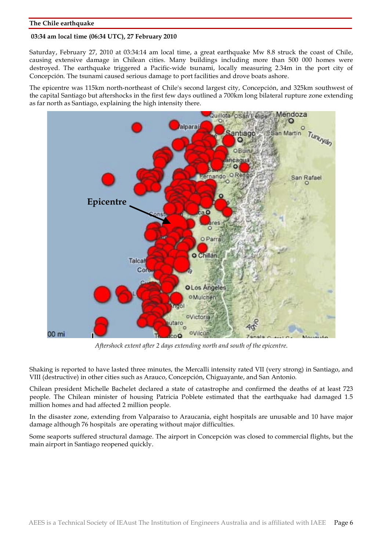## **The Chile earthquake**

## **03:34 am local time (06:34 UTC), 27 February 2010**

Saturday, February 27, 2010 at 03:34:14 am local time, a great earthquake Mw 8.8 struck the coast of Chile, causing extensive damage in Chilean cities. Many buildings including more than 500 000 homes were destroyed. The earthquake triggered a Pacific-wide tsunami, locally measuring 2.34m in the port city of Concepción. The tsunami caused serious damage to port facilities and drove boats ashore.

The epicentre was 115km north-northeast of Chile's second largest city, Concepción, and 325km southwest of the capital Santiago but aftershocks in the first few days outlined a 700km long bilateral rupture zone extending as far north as Santiago, explaining the high intensity there.



*Aftershock extent after 2 days extending north and south of the epicentre*.

Shaking is reported to have lasted three minutes, the Mercalli intensity rated VII (very strong) in Santiago, and VIII (destructive) in other cities such as Arauco, Concepción, Chiguayante, and San Antonio.

Chilean president Michelle Bachelet declared a state of catastrophe and confirmed the deaths of at least 723 people. The Chilean minister of housing Patricia Poblete estimated that the earthquake had damaged 1.5 million homes and had affected 2 million people.

In the disaster zone, extending from Valparaíso to Araucania, eight hospitals are unusable and 10 have major damage although 76 hospitals are operating without major difficulties.

Some seaports suffered structural damage. The airport in Concepción was closed to commercial flights, but the main airport in Santiago reopened quickly.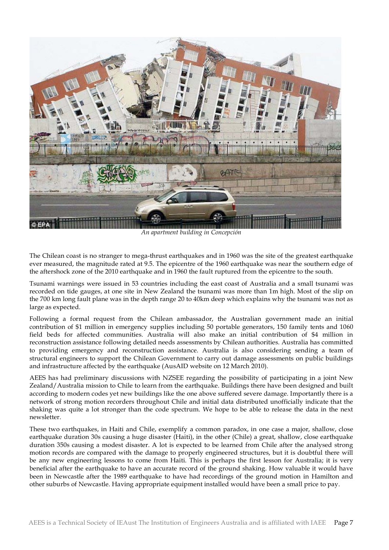

*An apartment building in Concepción*

The Chilean coast is no stranger to mega-thrust earthquakes and in 1960 was the site of the greatest earthquake ever measured, the magnitude rated at 9.5. The epicentre of the 1960 earthquake was near the southern edge of the aftershock zone of the 2010 earthquake and in 1960 the fault ruptured from the epicentre to the south.

Tsunami warnings were issued in 53 countries including the east coast of Australia and a small tsunami was recorded on tide gauges, at one site in New Zealand the tsunami was more than 1m high. Most of the slip on the 700 km long fault plane was in the depth range 20 to 40km deep which explains why the tsunami was not as large as expected.

Following a formal request from the Chilean ambassador, the Australian government made an initial contribution of \$1 million in emergency supplies including 50 portable generators, 150 family tents and 1060 field beds for affected communities. Australia will also make an initial contribution of \$4 million in reconstruction assistance following detailed needs assessments by Chilean authorities. Australia has committed to providing emergency and reconstruction assistance. Australia is also considering sending a team of structural engineers to support the Chilean Government to carry out damage assessments on public buildings and infrastructure affected by the earthquake (AusAID website on 12 March 2010).

AEES has had preliminary discussions with NZSEE regarding the possibility of participating in a joint New Zealand/Australia mission to Chile to learn from the earthquake. Buildings there have been designed and built according to modern codes yet new buildings like the one above suffered severe damage. Importantly there is a network of strong motion recorders throughout Chile and initial data distributed unofficially indicate that the shaking was quite a lot stronger than the code spectrum. We hope to be able to release the data in the next newsletter.

These two earthquakes, in Haiti and Chile, exemplify a common paradox, in one case a major, shallow, close earthquake duration 30s causing a huge disaster (Haiti), in the other (Chile) a great, shallow, close earthquake duration 350s causing a modest disaster. A lot is expected to be learned from Chile after the analysed strong motion records are compared with the damage to properly engineered structures, but it is doubtful there will be any new engineering lessons to come from Haiti. This is perhaps the first lesson for Australia; it is very beneficial after the earthquake to have an accurate record of the ground shaking. How valuable it would have been in Newcastle after the 1989 earthquake to have had recordings of the ground motion in Hamilton and other suburbs of Newcastle. Having appropriate equipment installed would have been a small price to pay.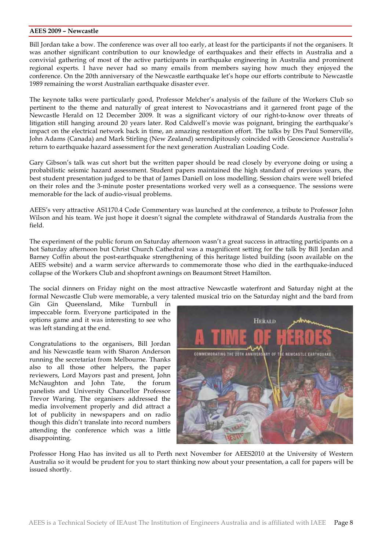#### **AEES 2009 – Newcastle**

Bill Jordan take a bow. The conference was over all too early, at least for the participants if not the organisers. It was another significant contribution to our knowledge of earthquakes and their effects in Australia and a convivial gathering of most of the active participants in earthquake engineering in Australia and prominent regional experts. I have never had so many emails from members saying how much they enjoyed the conference. On the 20th anniversary of the Newcastle earthquake let's hope our efforts contribute to Newcastle 1989 remaining the worst Australian earthquake disaster ever.

The keynote talks were particularly good, Professor Melcher's analysis of the failure of the Workers Club so pertinent to the theme and naturally of great interest to Novocastrians and it garnered front page of the Newcastle Herald on 12 December 2009. It was a significant victory of our right-to-know over threats of litigation still hanging around 20 years later. Rod Caldwell's movie was poignant, bringing the earthquake's impact on the electrical network back in time, an amazing restoration effort. The talks by Drs Paul Somerville, John Adams (Canada) and Mark Stirling (New Zealand) serendipitously coincided with Geoscience Australia's return to earthquake hazard assessment for the next generation Australian Loading Code.

Gary Gibson's talk was cut short but the written paper should be read closely by everyone doing or using a probabilistic seismic hazard assessment. Student papers maintained the high standard of previous years, the best student presentation judged to be that of James Daniell on loss modelling. Session chairs were well briefed on their roles and the 3-minute poster presentations worked very well as a consequence. The sessions were memorable for the lack of audio-visual problems.

AEES's very attractive AS1170.4 Code Commentary was launched at the conference, a tribute to Professor John Wilson and his team. We just hope it doesn't signal the complete withdrawal of Standards Australia from the field.

The experiment of the public forum on Saturday afternoon wasn't a great success in attracting participants on a hot Saturday afternoon but Christ Church Cathedral was a magnificent setting for the talk by Bill Jordan and Barney Coffin about the post-earthquake strengthening of this heritage listed building (soon available on the AEES website) and a warm service afterwards to commemorate those who died in the earthquake-induced collapse of the Workers Club and shopfront awnings on Beaumont Street Hamilton.

The social dinners on Friday night on the most attractive Newcastle waterfront and Saturday night at the formal Newcastle Club were memorable, a very talented musical trio on the Saturday night and the bard from

Gin Gin Queensland, Mike Turnbull in impeccable form. Everyone participated in the options game and it was interesting to see who was left standing at the end.

Congratulations to the organisers, Bill Jordan and his Newcastle team with Sharon Anderson running the secretariat from Melbourne. Thanks also to all those other helpers, the paper reviewers, Lord Mayors past and present, John McNaughton and John Tate, the forum panelists and University Chancellor Professor Trevor Waring. The organisers addressed the media involvement properly and did attract a lot of publicity in newspapers and on radio though this didn't translate into record numbers attending the conference which was a little disappointing.



Professor Hong Hao has invited us all to Perth next November for AEES2010 at the University of Western Australia so it would be prudent for you to start thinking now about your presentation, a call for papers will be issued shortly.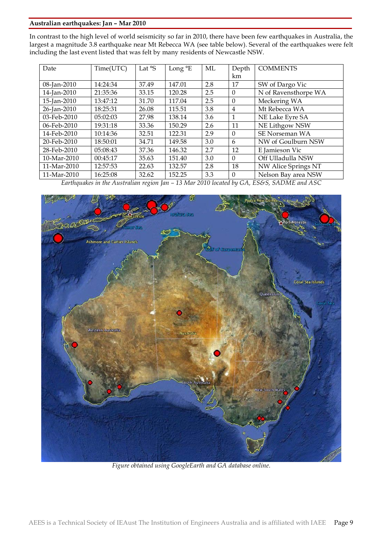# **Australian earthquakes: Jan – Mar 2010**

In contrast to the high level of world seismicity so far in 2010, there have been few earthquakes in Australia, the largest a magnitude 3.8 earthquake near Mt Rebecca WA (see table below). Several of the earthquakes were felt including the last event listed that was felt by many residents of Newcastle NSW.

| Date                                                               | Time(UTC) | Lat $\mathcal{S}$ | Long $\mathrm{E}$                       | ML            | Depth          | <b>COMMENTS</b>                                                                       |  |  |
|--------------------------------------------------------------------|-----------|-------------------|-----------------------------------------|---------------|----------------|---------------------------------------------------------------------------------------|--|--|
|                                                                    |           |                   |                                         |               | km             |                                                                                       |  |  |
| 08-Jan-2010                                                        | 14:24:34  | 37.49             | 147.01                                  | 2.8           | 17             | SW of Dargo Vic                                                                       |  |  |
| 14-Jan-2010                                                        | 21:35:36  | 33.15             | 120.28                                  | 2.5           | $\Omega$       | N of Ravensthorpe WA                                                                  |  |  |
| 15-Jan-2010                                                        | 13:47:12  | 31.70             | 117.04                                  | 2.5           | $\Omega$       | Meckering WA                                                                          |  |  |
| 26-Jan-2010                                                        | 18:25:31  | 26.08             | 115.51                                  | 3.8           | 4              | Mt Rebecca WA                                                                         |  |  |
| 03-Feb-2010                                                        | 05:02:03  | 27.98             | 138.14                                  | 3.6           | 1              | NE Lake Eyre SA                                                                       |  |  |
| 06-Feb-2010                                                        | 19:31:18  | 33.36             | 150.29                                  | 2.6           | 11             | NE Lithgow NSW                                                                        |  |  |
| 14-Feb-2010                                                        | 10:14:36  | 32.51             | 122.31                                  | 2.9           | $\Omega$       | SE Norseman WA                                                                        |  |  |
| 20-Feb-2010                                                        | 18:50:01  | 34.71             | 149.58                                  | 3.0           | 6              | NW of Goulburn NSW                                                                    |  |  |
| 28-Feb-2010                                                        | 05:08:43  | 37.36             | 146.32                                  | 2.7           | 12             | E Jamieson Vic                                                                        |  |  |
| 10-Mar-2010                                                        | 00:45:17  | 35.63             | 151.40                                  | 3.0           | $\Omega$       | Off Ulladulla NSW                                                                     |  |  |
| 11-Mar-2010                                                        | 12:57:53  | 22.63             | 132.57                                  | 2.8           | 18             | NW Alice Springs NT                                                                   |  |  |
| 11-Mar-2010<br>$\mathbf{r}$ $\mathbf{r}$ $\mathbf{r}$ $\mathbf{r}$ | 16:25:08  | 32.62             | 152.25<br>$\overline{a}$ $\overline{b}$ | 3.3<br>0.0401 | $\Omega$<br>11 | Nelson Bay area NSW<br>$C_{\ell}$ $D_{\ell}$ $C_{\ell}$ $D_{\ell}$ $D_{\ell}$<br>1.00 |  |  |

*Earthquakes in the Australian region Jan – 13 Mar 2010 located by GA, ES&S, SADME and ASC*



*Figure obtained using GoogleEarth and GA database online.*